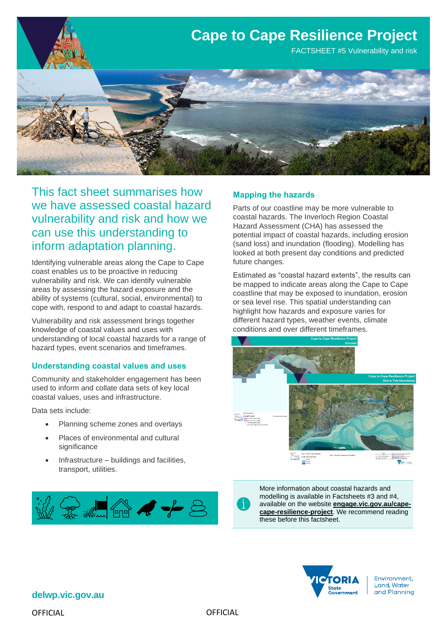

This fact sheet summarises how we have assessed coastal hazard vulnerability and risk and how we can use this understanding to inform adaptation planning.

Identifying vulnerable areas along the Cape to Cape coast enables us to be proactive in reducing vulnerability and risk. We can identify vulnerable areas by assessing the hazard exposure and the ability of systems (cultural, social, environmental) to cope with, respond to and adapt to coastal hazards.

Vulnerability and risk assessment brings together knowledge of coastal values and uses with understanding of local coastal hazards for a range of hazard types, event scenarios and timeframes.

## **Understanding coastal values and uses**

Community and stakeholder engagement has been used to inform and collate data sets of key local coastal values, uses and infrastructure.

Data sets include:

- Planning scheme zones and overlays
- Places of environmental and cultural significance
- Infrastructure buildings and facilities, transport, utilities.



# **Mapping the hazards**

Parts of our coastline may be more vulnerable to coastal hazards. The Inverloch Region Coastal Hazard Assessment (CHA) has assessed the potential impact of coastal hazards, including erosion (sand loss) and inundation (flooding). Modelling has looked at both present day conditions and predicted future changes.

Estimated as "coastal hazard extents", the results can be mapped to indicate areas along the Cape to Cape coastline that may be exposed to inundation, erosion or sea level rise. This spatial understanding can highlight how hazards and exposure varies for different hazard types, weather events, climate conditions and over different timeframes.





More information about coastal hazards and modelling is available in Factsheets #3 and #4, available on the website **[engage.vic.gov.au/cape](https://engage.vic.gov.au/cape-cape-resilience-project)[cape-resilience-project](https://engage.vic.gov.au/cape-cape-resilience-project)**. We recommend reading these before this factsheet.



Environment, Land, Water and Planning

**delwp.vic.gov.au**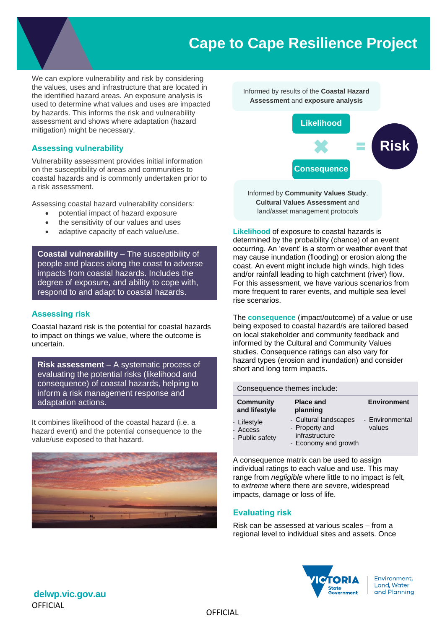# **Cape to Cape Resilience Project**

We can explore vulnerability and risk by considering the values, uses and infrastructure that are located in the identified hazard areas. An exposure analysis is used to determine what values and uses are impacted by hazards. This informs the risk and vulnerability assessment and shows where adaptation (hazard mitigation) might be necessary.

## **Assessing vulnerability**

Vulnerability assessment provides initial information on the susceptibility of areas and communities to coastal hazards and is commonly undertaken prior to a risk assessment.

Assessing coastal hazard vulnerability considers:

- potential impact of hazard exposure
- the sensitivity of our values and uses
- adaptive capacity of each value/use.

**Coastal vulnerability** – The susceptibility of people and places along the coast to adverse impacts from coastal hazards. Includes the degree of exposure, and ability to cope with, respond to and adapt to coastal hazards.

## **Assessing risk**

Coastal hazard risk is the potential for coastal hazards to impact on things we value, where the outcome is uncertain.

**Risk assessment** – A systematic process of evaluating the potential risks (likelihood and consequence) of coastal hazards, helping to inform a risk management response and adaptation actions.

It combines likelihood of the coastal hazard (i.e. a hazard event) and the potential consequence to the value/use exposed to that hazard.





Informed by **Community Values Study**, **Cultural Values Assessment** and land/asset management protocols

**Likelihood** of exposure to coastal hazards is determined by the probability (chance) of an event occurring. An 'event' is a storm or weather event that may cause inundation (flooding) or erosion along the coast. An event might include high winds, high tides and/or rainfall leading to high catchment (river) flow. For this assessment, we have various scenarios from more frequent to rarer events, and multiple sea level rise scenarios.

The **consequence** (impact/outcome) of a value or use being exposed to coastal hazard/s are tailored based on local stakeholder and community feedback and informed by the Cultural and Community Values studies. Consequence ratings can also vary for hazard types (erosion and inundation) and consider short and long term impacts.

### Consequence themes include:

| <b>Community</b><br>and lifestyle          | <b>Place and</b><br>planning                                                      | <b>Environment</b>        |
|--------------------------------------------|-----------------------------------------------------------------------------------|---------------------------|
| - Lifestyle<br>- Access<br>- Public safety | - Cultural landscapes<br>- Property and<br>infrastructure<br>- Economy and growth | - Environmental<br>values |

A consequence matrix can be used to assign individual ratings to each value and use. This may range from *negligible* where little to no impact is felt, to *extreme* where there are severe, widespread impacts, damage or loss of life.

## **Evaluating risk**

Risk can be assessed at various scales – from a regional level to individual sites and assets. Once



**OFFICIAL delwp.vic.gov.au**